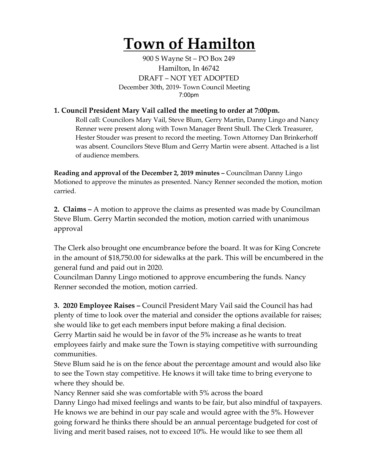## **Town of Hamilton**

900 S Wayne St – PO Box 249 Hamilton, In 46742 DRAFT – NOT YET ADOPTED December 30th, 2019- Town Council Meeting 7:00pm

## **1. Council President Mary Vail called the meeting to order at 7:00pm.**

Roll call: Councilors Mary Vail, Steve Blum, Gerry Martin, Danny Lingo and Nancy Renner were present along with Town Manager Brent Shull. The Clerk Treasurer, Hester Stouder was present to record the meeting. Town Attorney Dan Brinkerhoff was absent. Councilors Steve Blum and Gerry Martin were absent. Attached is a list of audience members.

**Reading and approval of the December 2, 2019 minutes –** Councilman Danny Lingo Motioned to approve the minutes as presented. Nancy Renner seconded the motion, motion carried.

**2. Claims –** A motion to approve the claims as presented was made by Councilman Steve Blum. Gerry Martin seconded the motion, motion carried with unanimous approval

The Clerk also brought one encumbrance before the board. It was for King Concrete in the amount of \$18,750.00 for sidewalks at the park. This will be encumbered in the general fund and paid out in 2020.

Councilman Danny Lingo motioned to approve encumbering the funds. Nancy Renner seconded the motion, motion carried.

**3. 2020 Employee Raises –** Council President Mary Vail said the Council has had plenty of time to look over the material and consider the options available for raises; she would like to get each members input before making a final decision. Gerry Martin said he would be in favor of the 5% increase as he wants to treat employees fairly and make sure the Town is staying competitive with surrounding communities.

Steve Blum said he is on the fence about the percentage amount and would also like to see the Town stay competitive. He knows it will take time to bring everyone to where they should be.

Nancy Renner said she was comfortable with 5% across the board Danny Lingo had mixed feelings and wants to be fair, but also mindful of taxpayers. He knows we are behind in our pay scale and would agree with the 5%. However going forward he thinks there should be an annual percentage budgeted for cost of living and merit based raises, not to exceed 10%. He would like to see them all